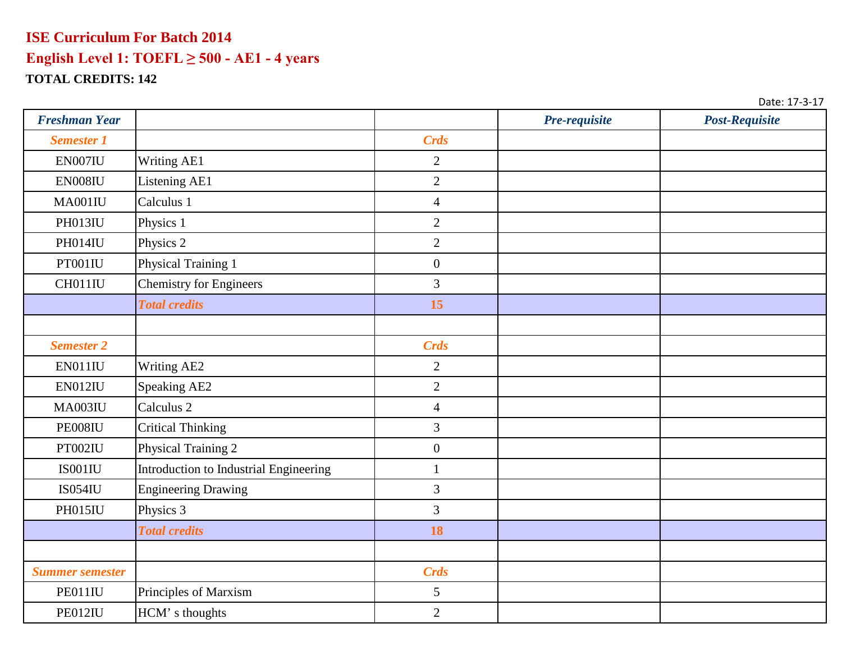| <b>Freshman Year</b>   |                                        |                  | Pre-requisite | Post-Requisite |
|------------------------|----------------------------------------|------------------|---------------|----------------|
| <b>Semester 1</b>      |                                        | <b>Crds</b>      |               |                |
| EN007IU                | Writing AE1                            | $\overline{2}$   |               |                |
| ${\rm EN008IU}$        | Listening AE1                          | $\overline{2}$   |               |                |
| MA001IU                | Calculus 1                             | $\overline{4}$   |               |                |
| PH013IU                | Physics 1                              | $\overline{2}$   |               |                |
| PH014IU                | Physics 2                              | $\overline{2}$   |               |                |
| PT001IU                | Physical Training 1                    | $\boldsymbol{0}$ |               |                |
| CH011IU                | <b>Chemistry for Engineers</b>         | 3                |               |                |
|                        | <b>Total credits</b>                   | 15               |               |                |
|                        |                                        |                  |               |                |
| <b>Semester 2</b>      |                                        | <b>Crds</b>      |               |                |
| EN011IU                | Writing AE2                            | $\overline{2}$   |               |                |
| EN012IU                | Speaking AE2                           | $\overline{2}$   |               |                |
| <b>MA003IU</b>         | Calculus <sub>2</sub>                  | $\overline{4}$   |               |                |
| PE008IU                | <b>Critical Thinking</b>               | $\mathfrak{Z}$   |               |                |
| PT002IU                | Physical Training 2                    | $\boldsymbol{0}$ |               |                |
| IS001IU                | Introduction to Industrial Engineering | $\mathbf{1}$     |               |                |
| <b>IS054IU</b>         | <b>Engineering Drawing</b>             | 3                |               |                |
| PH015IU                | Physics 3                              | $\overline{3}$   |               |                |
|                        | <b>Total credits</b>                   | 18               |               |                |
|                        |                                        |                  |               |                |
| <b>Summer semester</b> |                                        | <b>Crds</b>      |               |                |
| PE011IU                | Principles of Marxism                  | 5                |               |                |
| PE012IU                | HCM's thoughts                         | $\overline{2}$   |               |                |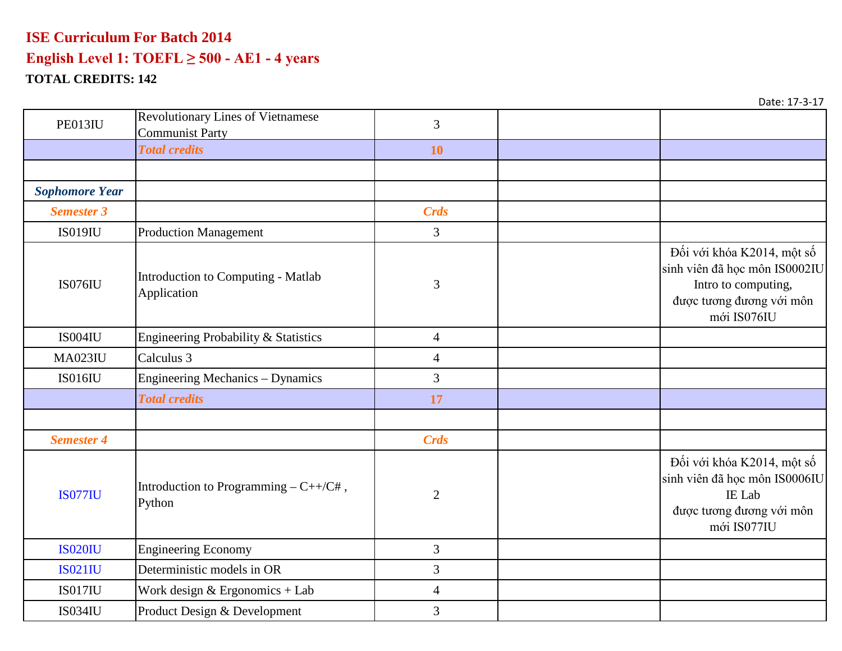| PE013IU               | <b>Revolutionary Lines of Vietnamese</b><br><b>Communist Party</b> | 3              |                                                                                                                               |
|-----------------------|--------------------------------------------------------------------|----------------|-------------------------------------------------------------------------------------------------------------------------------|
|                       | <b>Total credits</b>                                               | 10             |                                                                                                                               |
|                       |                                                                    |                |                                                                                                                               |
| <b>Sophomore Year</b> |                                                                    |                |                                                                                                                               |
| <b>Semester 3</b>     |                                                                    | <b>Crds</b>    |                                                                                                                               |
| <b>IS019IU</b>        | <b>Production Management</b>                                       | $\overline{3}$ |                                                                                                                               |
| <b>IS076IU</b>        | Introduction to Computing - Matlab<br>Application                  | $\mathfrak{Z}$ | Đối với khóa K2014, một số<br>sinh viên đã học môn IS0002IU<br>Intro to computing,<br>được tương đương với môn<br>mới IS076IU |
| IS004IU               | Engineering Probability & Statistics                               | $\overline{4}$ |                                                                                                                               |
| <b>MA023IU</b>        | Calculus 3                                                         | $\overline{4}$ |                                                                                                                               |
| <b>IS016IU</b>        | <b>Engineering Mechanics - Dynamics</b>                            | 3              |                                                                                                                               |
|                       | <b>Total credits</b>                                               | 17             |                                                                                                                               |
|                       |                                                                    |                |                                                                                                                               |
| <b>Semester 4</b>     |                                                                    | <b>Crds</b>    |                                                                                                                               |
| <b>IS077IU</b>        | Introduction to Programming $-C++/C#$ ,<br>Python                  | $\mathbf{2}$   | Đối với khóa K2014, một số<br>sinh viên đã học môn IS0006IU<br>IE Lab<br>được tương đương với môn<br>mới IS077IU              |
| <b>IS020IU</b>        | <b>Engineering Economy</b>                                         | 3              |                                                                                                                               |
| <b>IS021IU</b>        | Deterministic models in OR                                         | 3              |                                                                                                                               |
| <b>IS017IU</b>        | Work design $&$ Ergonomics + Lab                                   | $\overline{4}$ |                                                                                                                               |
| <b>IS034IU</b>        | Product Design & Development                                       | 3              |                                                                                                                               |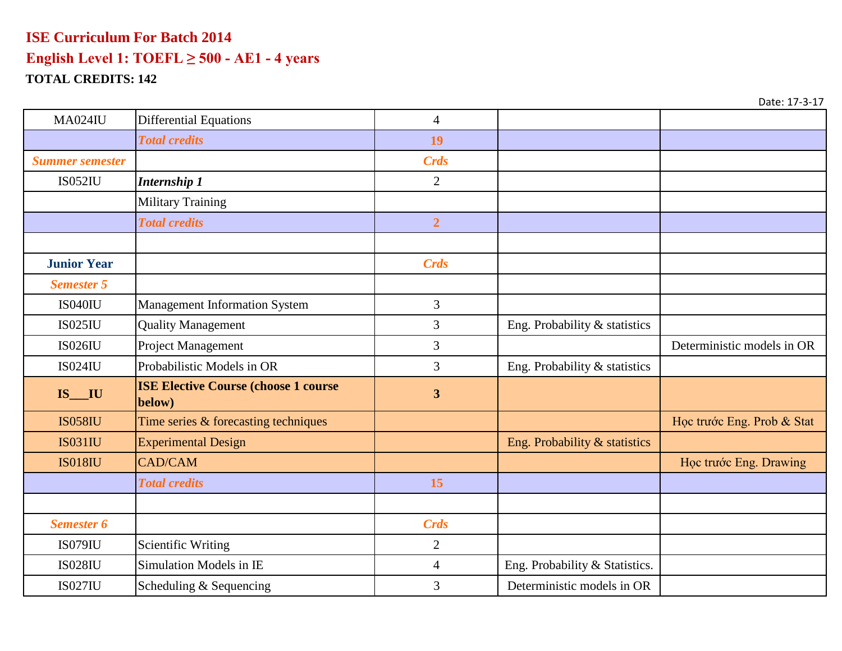| <b>MA024IU</b>         | <b>Differential Equations</b>                         | $\overline{4}$          |                                |                            |
|------------------------|-------------------------------------------------------|-------------------------|--------------------------------|----------------------------|
|                        | <b>Total credits</b>                                  | 19                      |                                |                            |
| <b>Summer semester</b> |                                                       | <b>Crds</b>             |                                |                            |
| <b>IS052IU</b>         | <b>Internship 1</b>                                   | $\overline{2}$          |                                |                            |
|                        | <b>Military Training</b>                              |                         |                                |                            |
|                        | <b>Total credits</b>                                  | $\overline{2}$          |                                |                            |
|                        |                                                       |                         |                                |                            |
| <b>Junior Year</b>     |                                                       | <b>Crds</b>             |                                |                            |
| <b>Semester 5</b>      |                                                       |                         |                                |                            |
| <b>IS040IU</b>         | <b>Management Information System</b>                  | 3                       |                                |                            |
| <b>IS025IU</b>         | <b>Quality Management</b>                             | 3                       | Eng. Probability & statistics  |                            |
| <b>IS026IU</b>         | Project Management                                    | 3                       |                                | Deterministic models in OR |
| <b>IS024IU</b>         | Probabilistic Models in OR                            | 3                       | Eng. Probability & statistics  |                            |
| $IS$ <sub>___</sub> IU | <b>ISE Elective Course (choose 1 course</b><br>below) | $\overline{\mathbf{3}}$ |                                |                            |
| <b>IS058IU</b>         | Time series & forecasting techniques                  |                         |                                | Học trước Eng. Prob & Stat |
| <b>IS031IU</b>         | <b>Experimental Design</b>                            |                         | Eng. Probability & statistics  |                            |
| <b>IS018IU</b>         | <b>CAD/CAM</b>                                        |                         |                                | Học trước Eng. Drawing     |
|                        | <b>Total credits</b>                                  | 15                      |                                |                            |
|                        |                                                       |                         |                                |                            |
| <b>Semester 6</b>      |                                                       | <b>Crds</b>             |                                |                            |
| IS079IU                | <b>Scientific Writing</b>                             | $\overline{2}$          |                                |                            |
| <b>IS028IU</b>         | Simulation Models in IE                               | $\overline{4}$          | Eng. Probability & Statistics. |                            |
| <b>IS027IU</b>         | Scheduling & Sequencing                               | 3                       | Deterministic models in OR     |                            |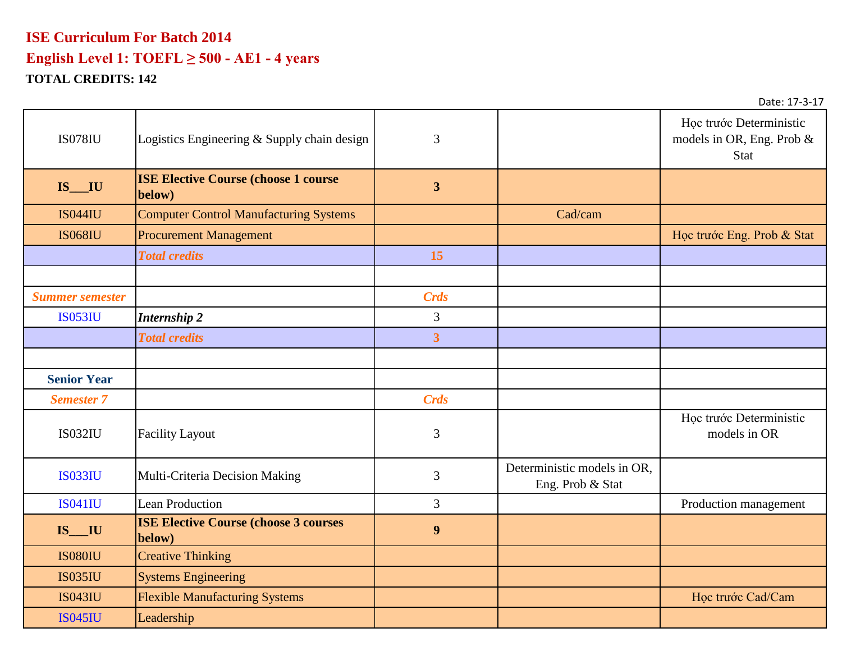# **ISE Curriculum For Batch 2014 English Level 1: TOEFL ≥ 500 - AE1 - 4 years**

**TOTAL CREDITS: 142**

| <b>IS078IU</b>         | Logistics Engineering & Supply chain design             | 3                       |                                                 | Học trước Deterministic<br>models in OR, Eng. Prob &<br><b>Stat</b> |
|------------------------|---------------------------------------------------------|-------------------------|-------------------------------------------------|---------------------------------------------------------------------|
| IS_IU                  | <b>ISE Elective Course (choose 1 course)</b><br>below)  | $\overline{3}$          |                                                 |                                                                     |
| <b>IS044IU</b>         | <b>Computer Control Manufacturing Systems</b>           |                         | Cad/cam                                         |                                                                     |
| <b>IS068IU</b>         | <b>Procurement Management</b>                           |                         |                                                 | Học trước Eng. Prob & Stat                                          |
|                        | <b>Total credits</b>                                    | 15                      |                                                 |                                                                     |
|                        |                                                         |                         |                                                 |                                                                     |
| <b>Summer semester</b> |                                                         | <b>Crds</b>             |                                                 |                                                                     |
| <b>IS053IU</b>         | <b>Internship 2</b>                                     | 3                       |                                                 |                                                                     |
|                        | <b>Total credits</b>                                    | $\overline{\mathbf{3}}$ |                                                 |                                                                     |
|                        |                                                         |                         |                                                 |                                                                     |
| <b>Senior Year</b>     |                                                         |                         |                                                 |                                                                     |
| <b>Semester 7</b>      |                                                         | <b>Crds</b>             |                                                 |                                                                     |
| <b>IS032IU</b>         | <b>Facility Layout</b>                                  | $\mathfrak{Z}$          |                                                 | Học trước Deterministic<br>models in OR                             |
| <b>IS033IU</b>         | Multi-Criteria Decision Making                          | 3                       | Deterministic models in OR,<br>Eng. Prob & Stat |                                                                     |
| <b>IS041IU</b>         | <b>Lean Production</b>                                  | 3                       |                                                 | Production management                                               |
| $IS$ $IU$              | <b>ISE Elective Course (choose 3 courses)</b><br>below) | $\boldsymbol{9}$        |                                                 |                                                                     |
| <b>IS080IU</b>         | <b>Creative Thinking</b>                                |                         |                                                 |                                                                     |
| <b>IS035IU</b>         | <b>Systems Engineering</b>                              |                         |                                                 |                                                                     |
| <b>IS043IU</b>         | <b>Flexible Manufacturing Systems</b>                   |                         |                                                 | Học trước Cad/Cam                                                   |
| <b>IS045IU</b>         | Leadership                                              |                         |                                                 |                                                                     |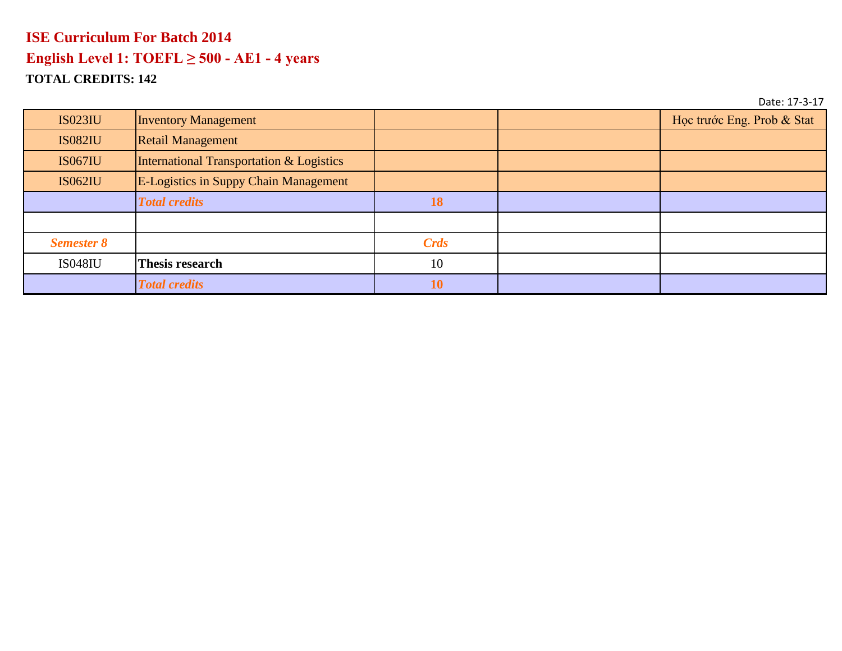| <b>IS023IU</b>    | <b>Inventory Management</b>                  |           | Học trước Eng. Prob & Stat |
|-------------------|----------------------------------------------|-----------|----------------------------|
| <b>IS082IU</b>    | <b>Retail Management</b>                     |           |                            |
| <b>IS067IU</b>    | International Transportation & Logistics     |           |                            |
| <b>IS062IU</b>    | <b>E-Logistics in Suppy Chain Management</b> |           |                            |
|                   | <b>Total credits</b>                         | 18        |                            |
|                   |                                              |           |                            |
| <b>Semester 8</b> |                                              | Crds      |                            |
| <b>IS048IU</b>    | Thesis research                              | 10        |                            |
|                   | <b>Total credits</b>                         | <b>10</b> |                            |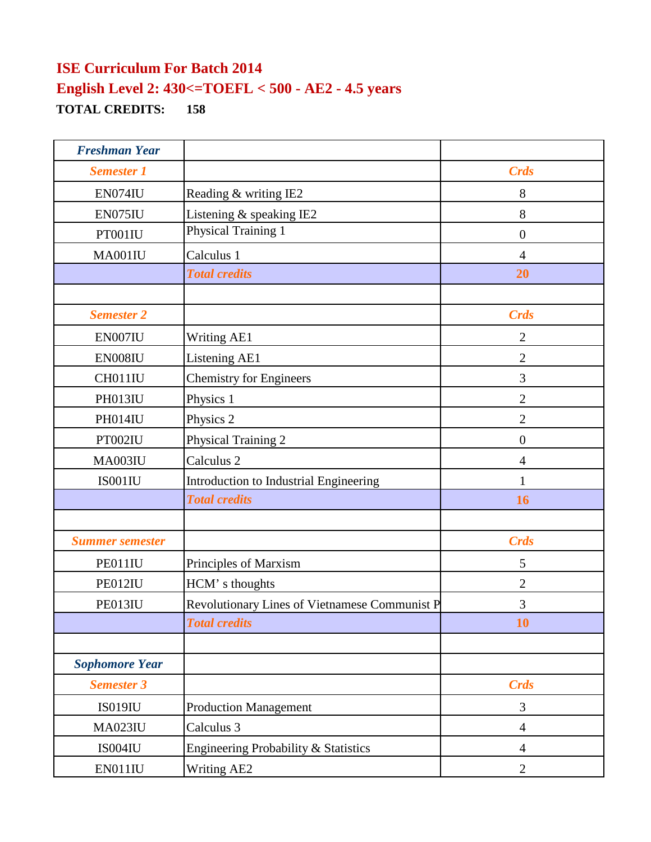| <b>Freshman Year</b>   |                                               |                |
|------------------------|-----------------------------------------------|----------------|
| <b>Semester 1</b>      |                                               | <b>Crds</b>    |
| EN074IU                | Reading & writing IE2                         | 8              |
| EN075IU                | Listening & speaking IE2                      | 8              |
| PT001IU                | Physical Training 1                           | $\overline{0}$ |
| MA001IU                | Calculus 1                                    | $\overline{4}$ |
|                        | <b>Total credits</b>                          | 20             |
|                        |                                               |                |
| <b>Semester 2</b>      |                                               | <b>Crds</b>    |
| EN007IU                | <b>Writing AE1</b>                            | $\overline{2}$ |
| EN008IU                | Listening AE1                                 | $\overline{2}$ |
| CH011IU                | <b>Chemistry for Engineers</b>                | 3              |
| PH013IU                | Physics 1                                     | $\overline{2}$ |
| PH014IU                | Physics 2                                     | $\overline{2}$ |
| PT002IU                | Physical Training 2                           | $\overline{0}$ |
| MA003IU                | Calculus 2                                    | $\overline{4}$ |
| IS001IU                | Introduction to Industrial Engineering        | 1              |
|                        | <b>Total credits</b>                          | 16             |
|                        |                                               |                |
| <b>Summer semester</b> |                                               | <b>Crds</b>    |
| PE011IU                | Principles of Marxism                         | 5              |
| PE012IU                | HCM's thoughts                                | $\mathfrak{2}$ |
| PE013IU                | Revolutionary Lines of Vietnamese Communist P | 3              |
|                        | <b>Total credits</b>                          | 10             |
|                        |                                               |                |
| <b>Sophomore Year</b>  |                                               |                |
| <b>Semester 3</b>      |                                               | <b>Crds</b>    |
| <b>IS019IU</b>         | <b>Production Management</b>                  | 3              |
| <b>MA023IU</b>         | Calculus 3                                    | $\overline{4}$ |
| IS004IU                | Engineering Probability & Statistics          | $\overline{4}$ |
| EN011IU                | Writing AE2                                   | $\mathbf{2}$   |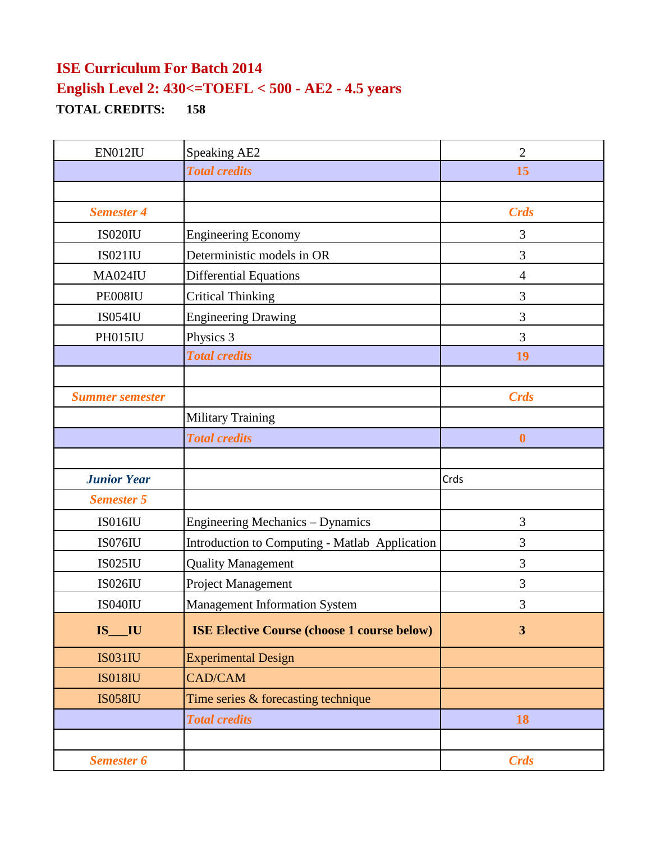| EN012IU                | <b>Speaking AE2</b>                                | $\overline{2}$   |
|------------------------|----------------------------------------------------|------------------|
|                        | <b>Total credits</b>                               | 15               |
|                        |                                                    |                  |
| <b>Semester 4</b>      |                                                    | <b>Crds</b>      |
| <b>IS020IU</b>         | <b>Engineering Economy</b>                         | 3                |
| <b>IS021IU</b>         | Deterministic models in OR                         | 3                |
| <b>MA024IU</b>         | <b>Differential Equations</b>                      | $\overline{4}$   |
| PE008IU                | <b>Critical Thinking</b>                           | 3                |
| <b>IS054IU</b>         | <b>Engineering Drawing</b>                         | 3                |
| PH015IU                | Physics 3                                          | 3                |
|                        | <b>Total credits</b>                               | 19               |
|                        |                                                    |                  |
| <b>Summer semester</b> |                                                    | <b>Crds</b>      |
|                        | <b>Military Training</b>                           |                  |
|                        | <b>Total credits</b>                               | $\boldsymbol{0}$ |
|                        |                                                    |                  |
| <b>Junior Year</b>     |                                                    | Crds             |
| <b>Semester 5</b>      |                                                    |                  |
| <b>IS016IU</b>         | <b>Engineering Mechanics - Dynamics</b>            | 3                |
| <b>IS076IU</b>         | Introduction to Computing - Matlab Application     | 3                |
| <b>IS025IU</b>         | <b>Quality Management</b>                          | 3                |
| <b>IS026IU</b>         | Project Management                                 | 3                |
| <b>IS040IU</b>         | <b>Management Information System</b>               | 3                |
| $IS$ $IU$              | <b>ISE Elective Course (choose 1 course below)</b> | $\overline{3}$   |
| <b>IS031IU</b>         | <b>Experimental Design</b>                         |                  |
| <b>IS018IU</b>         | <b>CAD/CAM</b>                                     |                  |
| <b>IS058IU</b>         | Time series & forecasting technique                |                  |
|                        | <b>Total credits</b>                               | 18               |
|                        |                                                    |                  |
| <b>Semester 6</b>      |                                                    | <b>Crds</b>      |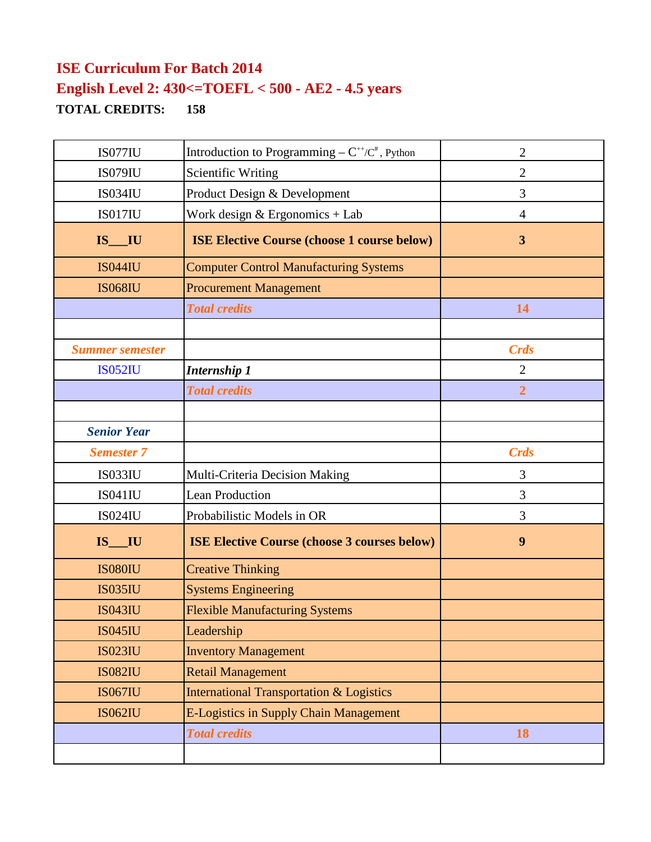| IS077IU                | Introduction to Programming – $C^{++}/C^*$ , Python | $\overline{2}$ |
|------------------------|-----------------------------------------------------|----------------|
| IS079IU                | <b>Scientific Writing</b>                           | $\overline{2}$ |
| <b>IS034IU</b>         | Product Design & Development                        | 3              |
| IS017IU                | Work design & Ergonomics + Lab                      | $\overline{4}$ |
| $IS$ <sub>___</sub> IU | <b>ISE Elective Course (choose 1 course below)</b>  | 3              |
| <b>IS044IU</b>         | <b>Computer Control Manufacturing Systems</b>       |                |
| <b>IS068IU</b>         | <b>Procurement Management</b>                       |                |
|                        | <b>Total credits</b>                                | 14             |
|                        |                                                     |                |
| <b>Summer semester</b> |                                                     | <b>Crds</b>    |
| <b>IS052IU</b>         | <b>Internship 1</b>                                 | $\overline{2}$ |
|                        | <b>Total credits</b>                                | $\overline{2}$ |
|                        |                                                     |                |
| <b>Senior Year</b>     |                                                     |                |
| <b>Semester 7</b>      |                                                     | <b>Crds</b>    |
| <b>IS033IU</b>         | Multi-Criteria Decision Making                      | 3              |
| <b>IS041IU</b>         | <b>Lean Production</b>                              | 3              |
| <b>IS024IU</b>         | Probabilistic Models in OR                          | 3              |
| $IS$ <sub>___</sub> IU | <b>ISE Elective Course (choose 3 courses below)</b> | 9              |
| <b>IS080IU</b>         | <b>Creative Thinking</b>                            |                |
| <b>IS035IU</b>         | <b>Systems Engineering</b>                          |                |
| <b>IS043IU</b>         | <b>Flexible Manufacturing Systems</b>               |                |
| <b>IS045IU</b>         | Leadership                                          |                |
| <b>IS023IU</b>         | <b>Inventory Management</b>                         |                |
| <b>IS082IU</b>         | <b>Retail Management</b>                            |                |
| <b>IS067IU</b>         | <b>International Transportation &amp; Logistics</b> |                |
| <b>IS062IU</b>         | <b>E-Logistics in Supply Chain Management</b>       |                |
|                        | <b>Total credits</b>                                | 18             |
|                        |                                                     |                |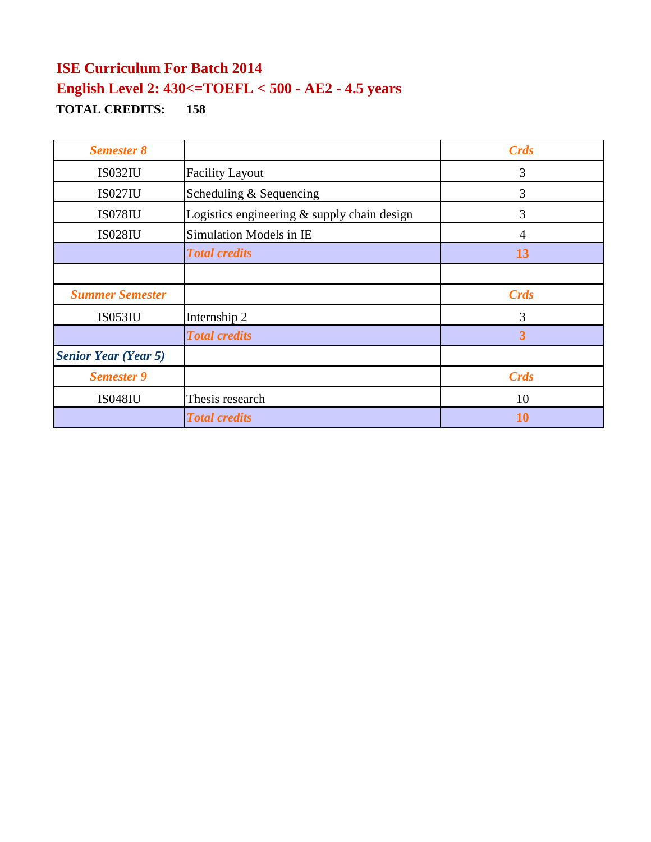| <b>Semester 8</b>           |                                               | <b>Crds</b>    |
|-----------------------------|-----------------------------------------------|----------------|
| IS032IU                     | <b>Facility Layout</b>                        | 3              |
| <b>IS027IU</b>              | Scheduling & Sequencing                       | 3              |
| <b>IS078IU</b>              | Logistics engineering $&$ supply chain design | 3              |
| <b>IS028IU</b>              | Simulation Models in IE                       | $\overline{4}$ |
|                             | <b>Total credits</b>                          | 13             |
|                             |                                               |                |
| <b>Summer Semester</b>      |                                               | Crds           |
| <b>IS053IU</b>              | Internship 2                                  | 3              |
|                             | <b>Total credits</b>                          | 3              |
| <b>Senior Year (Year 5)</b> |                                               |                |
| <b>Semester 9</b>           |                                               | <b>Crds</b>    |
| <b>IS048IU</b>              | Thesis research                               | 10             |
|                             | <b>Total credits</b>                          | 10             |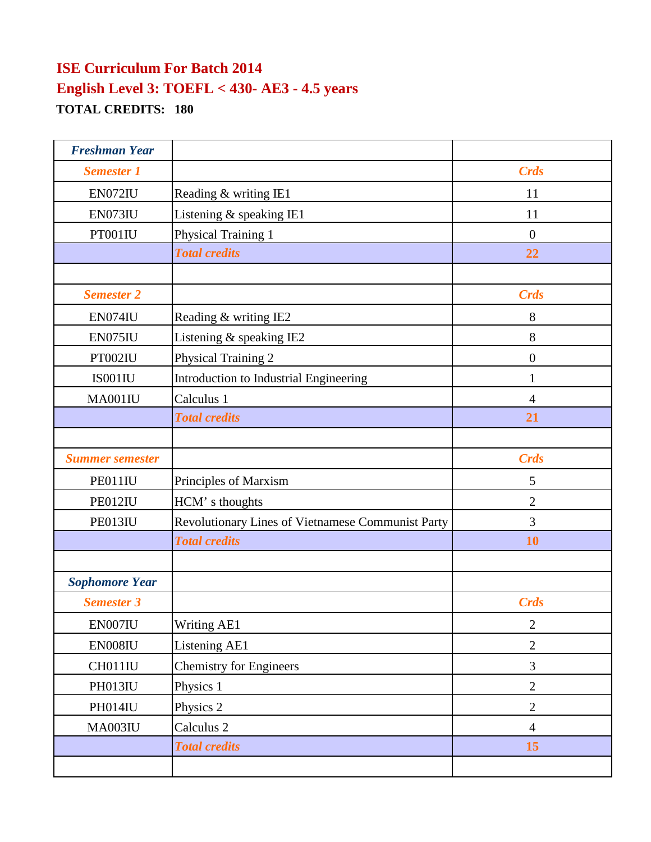| <b>Freshman Year</b>   |                                                   |                |
|------------------------|---------------------------------------------------|----------------|
| <b>Semester 1</b>      |                                                   | <b>Crds</b>    |
| EN072IU                | Reading & writing IE1                             | 11             |
| EN073IU                | Listening & speaking IE1                          | 11             |
| PT001IU                | Physical Training 1                               | $\overline{0}$ |
|                        | <b>Total credits</b>                              | 22             |
|                        |                                                   |                |
| <b>Semester 2</b>      |                                                   | <b>Crds</b>    |
| EN074IU                | Reading & writing IE2                             | 8              |
| EN075IU                | Listening & speaking IE2                          | 8              |
| PT002IU                | Physical Training 2                               | $\overline{0}$ |
| IS001IU                | Introduction to Industrial Engineering            | $\mathbf{1}$   |
| MA001IU                | Calculus 1                                        | $\overline{4}$ |
|                        | <b>Total credits</b>                              | 21             |
|                        |                                                   |                |
| <b>Summer semester</b> |                                                   | <b>Crds</b>    |
| PE011IU                | Principles of Marxism                             | 5              |
| PE012IU                | HCM's thoughts                                    | $\overline{2}$ |
| PE013IU                | Revolutionary Lines of Vietnamese Communist Party | 3              |
|                        | <b>Total credits</b>                              | 10             |
|                        |                                                   |                |
| <b>Sophomore Year</b>  |                                                   |                |
| <b>Semester 3</b>      |                                                   | <b>Crds</b>    |
| EN007IU                | Writing AE1                                       | $\overline{2}$ |
| EN008IU                | Listening AE1                                     | $\mathbf{2}$   |
| CH011IU                | <b>Chemistry for Engineers</b>                    | 3              |
| PH013IU                | Physics 1                                         | $\overline{2}$ |
| PH014IU                | Physics 2                                         | $\overline{2}$ |
| MA003IU                | Calculus 2                                        | $\overline{4}$ |
|                        | <b>Total credits</b>                              | 15             |
|                        |                                                   |                |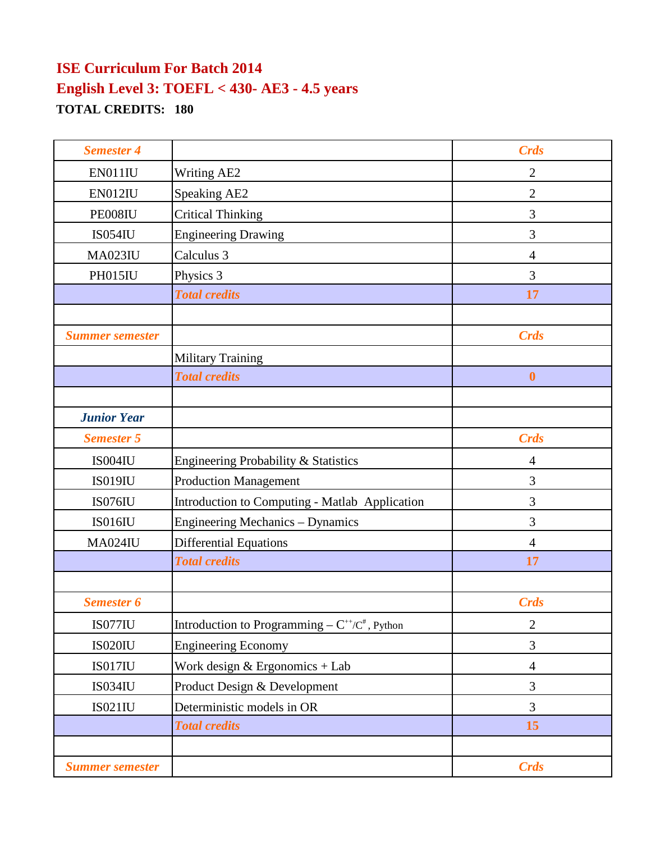| <b>Semester 4</b>      |                                                      | <b>Crds</b>      |
|------------------------|------------------------------------------------------|------------------|
| EN011IU                | <b>Writing AE2</b>                                   | $\overline{2}$   |
| EN012IU                | Speaking AE2                                         | $\overline{2}$   |
| PE008IU                | <b>Critical Thinking</b>                             | 3                |
| <b>IS054IU</b>         | <b>Engineering Drawing</b>                           | 3                |
| <b>MA023IU</b>         | Calculus 3                                           | $\overline{4}$   |
| PH015IU                | Physics 3                                            | 3                |
|                        | <b>Total credits</b>                                 | 17               |
|                        |                                                      |                  |
| <b>Summer semester</b> |                                                      | <b>Crds</b>      |
|                        | <b>Military Training</b>                             |                  |
|                        | <b>Total credits</b>                                 | $\boldsymbol{0}$ |
|                        |                                                      |                  |
| <b>Junior Year</b>     |                                                      |                  |
| <b>Semester 5</b>      |                                                      | <b>Crds</b>      |
| IS004IU                | Engineering Probability & Statistics                 | 4                |
| <b>IS019IU</b>         | <b>Production Management</b>                         | 3                |
| IS076IU                | Introduction to Computing - Matlab Application       | 3                |
| IS016IU                | Engineering Mechanics - Dynamics                     | 3                |
| <b>MA024IU</b>         | <b>Differential Equations</b>                        | $\overline{4}$   |
|                        | <b>Total credits</b>                                 | 17               |
|                        |                                                      |                  |
| <b>Semester 6</b>      |                                                      | <b>Crds</b>      |
| IS077IU                | Introduction to Programming – $C^{+}/C^{*}$ , Python | $\mathbf{2}$     |
| <b>IS020IU</b>         | <b>Engineering Economy</b>                           | 3                |
| IS017IU                | Work design $&$ Ergonomics + Lab                     | $\overline{4}$   |
| <b>IS034IU</b>         | Product Design & Development                         | 3                |
| <b>IS021IU</b>         | Deterministic models in OR                           | 3                |
|                        | <b>Total credits</b>                                 | 15               |
|                        |                                                      |                  |
| <b>Summer semester</b> |                                                      | <b>Crds</b>      |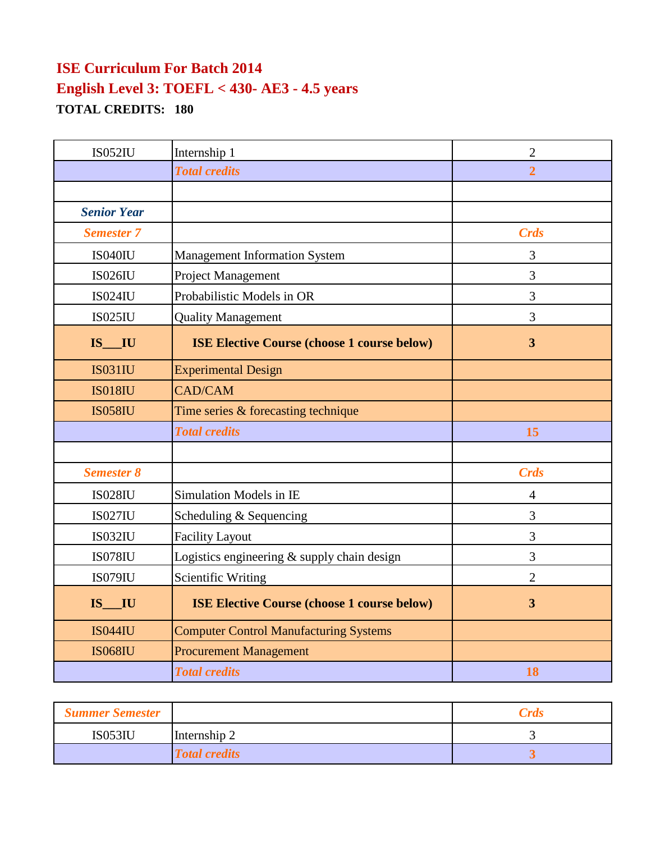| <b>IS052IU</b>     | Internship 1                                       | $\mathbf{2}$            |
|--------------------|----------------------------------------------------|-------------------------|
|                    | <b>Total credits</b>                               | $\overline{2}$          |
|                    |                                                    |                         |
| <b>Senior Year</b> |                                                    |                         |
| <b>Semester 7</b>  |                                                    | <b>Crds</b>             |
| IS040IU            | <b>Management Information System</b>               | 3                       |
| <b>IS026IU</b>     | <b>Project Management</b>                          | 3                       |
| <b>IS024IU</b>     | Probabilistic Models in OR                         | 3                       |
| <b>IS025IU</b>     | <b>Quality Management</b>                          | 3                       |
| $IS$ $IU$          | <b>ISE Elective Course (choose 1 course below)</b> | $\overline{\mathbf{3}}$ |
| <b>IS031IU</b>     | <b>Experimental Design</b>                         |                         |
| <b>IS018IU</b>     | CAD/CAM                                            |                         |
| <b>IS058IU</b>     | Time series & forecasting technique                |                         |
|                    | <b>Total credits</b>                               | 15                      |
|                    |                                                    |                         |
| <b>Semester 8</b>  |                                                    | <b>Crds</b>             |
| <b>IS028IU</b>     | Simulation Models in IE                            | 4                       |
| <b>IS027IU</b>     | Scheduling & Sequencing                            | 3                       |
| <b>IS032IU</b>     | <b>Facility Layout</b>                             | 3                       |
| IS078IU            | Logistics engineering $&$ supply chain design      | 3                       |
| IS079IU            | <b>Scientific Writing</b>                          | $\overline{2}$          |
| $IS$ $IU$          | <b>ISE Elective Course (choose 1 course below)</b> | $\overline{3}$          |
| <b>IS044IU</b>     | <b>Computer Control Manufacturing Systems</b>      |                         |
| <b>IS068IU</b>     | <b>Procurement Management</b>                      |                         |
|                    | <b>Total credits</b>                               | 18                      |

| <b>Summer Semester</b> |                      | <b>Crds</b> |
|------------------------|----------------------|-------------|
| <b>IS053IU</b>         | Internship 2         |             |
|                        | <b>Total credits</b> | ັ           |